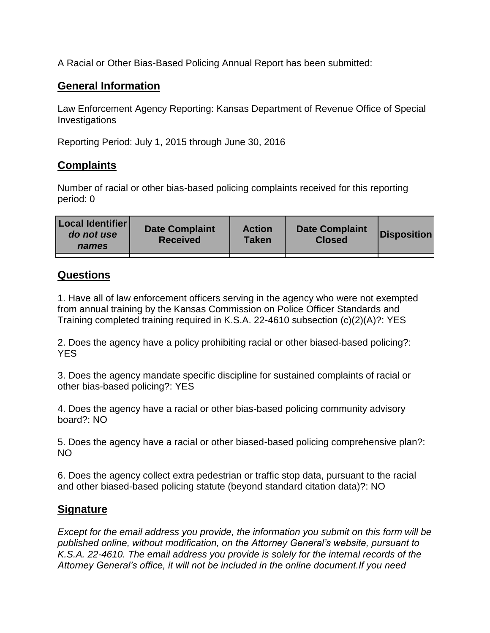A Racial or Other Bias-Based Policing Annual Report has been submitted:

## **General Information**

Law Enforcement Agency Reporting: Kansas Department of Revenue Office of Special Investigations

Reporting Period: July 1, 2015 through June 30, 2016

## **Complaints**

Number of racial or other bias-based policing complaints received for this reporting period: 0

| Local Identifier<br>do not use<br>names | <b>Date Complaint</b><br><b>Received</b> | <b>Action</b><br>Taken | <b>Date Complaint</b><br><b>Closed</b> | <b>Disposition</b> |
|-----------------------------------------|------------------------------------------|------------------------|----------------------------------------|--------------------|
|                                         |                                          |                        |                                        |                    |

## **Questions**

1. Have all of law enforcement officers serving in the agency who were not exempted from annual training by the Kansas Commission on Police Officer Standards and Training completed training required in K.S.A. 22-4610 subsection (c)(2)(A)?: YES

2. Does the agency have a policy prohibiting racial or other biased-based policing?: YES

3. Does the agency mandate specific discipline for sustained complaints of racial or other bias-based policing?: YES

4. Does the agency have a racial or other bias-based policing community advisory board?: NO

5. Does the agency have a racial or other biased-based policing comprehensive plan?: NO

6. Does the agency collect extra pedestrian or traffic stop data, pursuant to the racial and other biased-based policing statute (beyond standard citation data)?: NO

## **Signature**

*Except for the email address you provide, the information you submit on this form will be published online, without modification, on the Attorney General's website, pursuant to K.S.A. 22-4610. The email address you provide is solely for the internal records of the Attorney General's office, it will not be included in the online document.If you need*